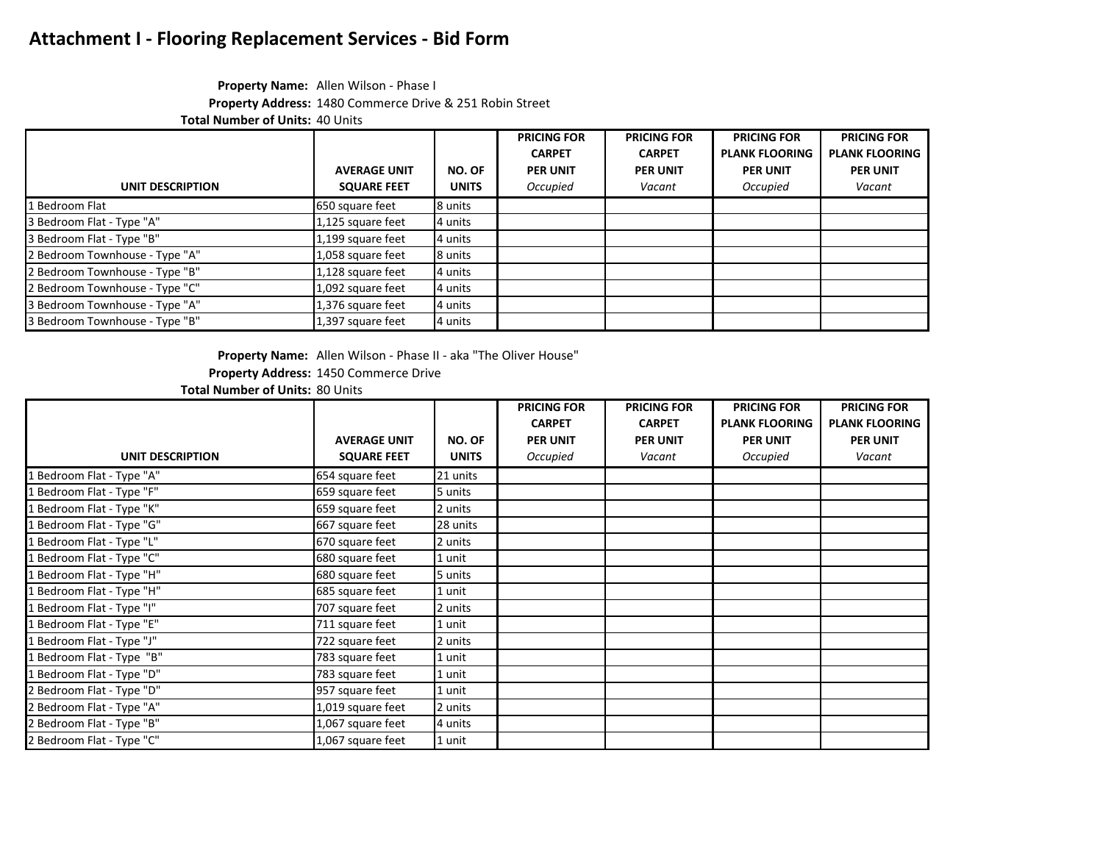#### **Property Name:** Allen Wilson - Phase I **Property Address:** 1480 Commerce Drive & 251 Robin Street

**Total Number of Units:** 40 Units

|                                |                     |              | <b>PRICING FOR</b> | <b>PRICING FOR</b> | <b>PRICING FOR</b>    | <b>PRICING FOR</b>    |
|--------------------------------|---------------------|--------------|--------------------|--------------------|-----------------------|-----------------------|
|                                |                     |              | <b>CARPET</b>      | <b>CARPET</b>      | <b>PLANK FLOORING</b> | <b>PLANK FLOORING</b> |
|                                | <b>AVERAGE UNIT</b> | NO. OF       | <b>PER UNIT</b>    | <b>PER UNIT</b>    | <b>PER UNIT</b>       | <b>PER UNIT</b>       |
| UNIT DESCRIPTION               | <b>SQUARE FEET</b>  | <b>UNITS</b> | Occupied           | Vacant             | Occupied              | Vacant                |
| 1 Bedroom Flat                 | 650 square feet     | 8 units      |                    |                    |                       |                       |
| 3 Bedroom Flat - Type "A"      | 1,125 square feet   | 4 units      |                    |                    |                       |                       |
| 3 Bedroom Flat - Type "B"      | 1,199 square feet   | 4 units      |                    |                    |                       |                       |
| 2 Bedroom Townhouse - Type "A" | 1,058 square feet   | 8 units      |                    |                    |                       |                       |
| 2 Bedroom Townhouse - Type "B" | 1,128 square feet   | 4 units      |                    |                    |                       |                       |
| 2 Bedroom Townhouse - Type "C" | 1,092 square feet   | 4 units      |                    |                    |                       |                       |
| 3 Bedroom Townhouse - Type "A" | 1,376 square feet   | 4 units      |                    |                    |                       |                       |
| 3 Bedroom Townhouse - Type "B" | 1,397 square feet   | 4 units      |                    |                    |                       |                       |

**Property Name:** Allen Wilson - Phase II - aka "The Oliver House"

**Property Address:** 1450 Commerce Drive

**Total Number of Units:** 80 Units

|                           |                     |              | <b>PRICING FOR</b> | <b>PRICING FOR</b> | <b>PRICING FOR</b>    | <b>PRICING FOR</b>    |
|---------------------------|---------------------|--------------|--------------------|--------------------|-----------------------|-----------------------|
|                           |                     |              | <b>CARPET</b>      | <b>CARPET</b>      | <b>PLANK FLOORING</b> | <b>PLANK FLOORING</b> |
|                           | <b>AVERAGE UNIT</b> | NO. OF       | <b>PER UNIT</b>    | <b>PER UNIT</b>    | <b>PER UNIT</b>       | <b>PER UNIT</b>       |
| UNIT DESCRIPTION          | <b>SQUARE FEET</b>  | <b>UNITS</b> | Occupied           | Vacant             | Occupied              | Vacant                |
| 1 Bedroom Flat - Type "A" | 654 square feet     | 21 units     |                    |                    |                       |                       |
| 1 Bedroom Flat - Type "F" | 659 square feet     | 5 units      |                    |                    |                       |                       |
| L Bedroom Flat - Type "K" | 659 square feet     | 2 units      |                    |                    |                       |                       |
| 1 Bedroom Flat - Type "G" | 667 square feet     | 28 units     |                    |                    |                       |                       |
| Bedroom Flat - Type "L"   | 670 square feet     | 2 units      |                    |                    |                       |                       |
| Bedroom Flat - Type "C"   | 680 square feet     | 1 unit       |                    |                    |                       |                       |
| Bedroom Flat - Type "H"   | 680 square feet     | 5 units      |                    |                    |                       |                       |
| 1 Bedroom Flat - Type "H" | 685 square feet     | 1 unit       |                    |                    |                       |                       |
| Bedroom Flat - Type "I"   | 707 square feet     | 2 units      |                    |                    |                       |                       |
| 1 Bedroom Flat - Type "E" | 711 square feet     | 1 unit       |                    |                    |                       |                       |
| Bedroom Flat - Type "J"   | 722 square feet     | 2 units      |                    |                    |                       |                       |
| L Bedroom Flat - Type "B" | 783 square feet     | 1 unit       |                    |                    |                       |                       |
| L Bedroom Flat - Type "D" | 783 square feet     | 1 unit       |                    |                    |                       |                       |
| 2 Bedroom Flat - Type "D" | 957 square feet     | 1 unit       |                    |                    |                       |                       |
| 2 Bedroom Flat - Type "A" | 1,019 square feet   | 2 units      |                    |                    |                       |                       |
| 2 Bedroom Flat - Type "B" | 1,067 square feet   | 4 units      |                    |                    |                       |                       |
| 2 Bedroom Flat - Type "C" | 1,067 square feet   | 1 unit       |                    |                    |                       |                       |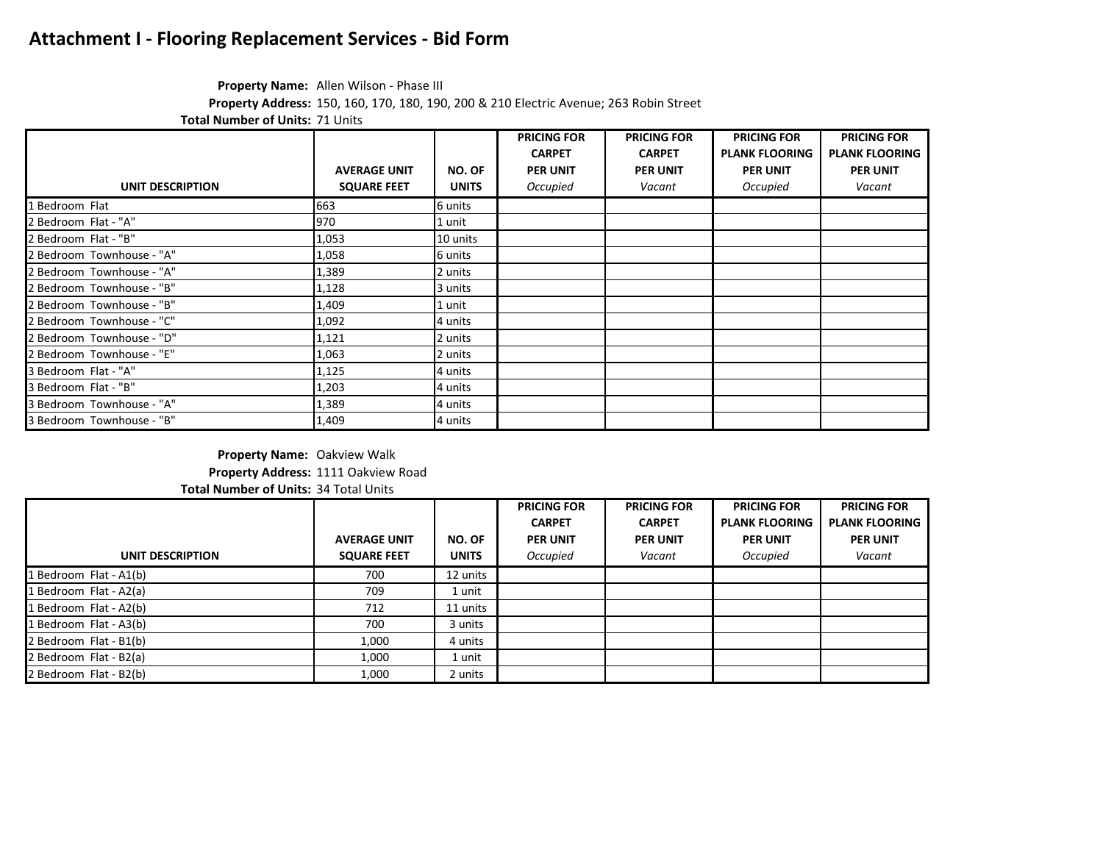### **Property Name:** Allen Wilson - Phase III

**Property Address:** 150, 160, 170, 180, 190, 200 & 210 Electric Avenue; 263 Robin Street

**Total Number of Units:** 71 Units

|                           |                     |              | <b>PRICING FOR</b> | <b>PRICING FOR</b> | <b>PRICING FOR</b>    | <b>PRICING FOR</b>    |
|---------------------------|---------------------|--------------|--------------------|--------------------|-----------------------|-----------------------|
|                           |                     |              | <b>CARPET</b>      | <b>CARPET</b>      | <b>PLANK FLOORING</b> | <b>PLANK FLOORING</b> |
|                           | <b>AVERAGE UNIT</b> | NO. OF       | <b>PER UNIT</b>    | <b>PER UNIT</b>    | <b>PER UNIT</b>       | <b>PER UNIT</b>       |
| <b>UNIT DESCRIPTION</b>   | <b>SQUARE FEET</b>  | <b>UNITS</b> | Occupied           | Vacant             | Occupied              | Vacant                |
| 1 Bedroom Flat            | 663                 | 6 units      |                    |                    |                       |                       |
| 2 Bedroom Flat - "A"      | 970                 | 1 unit       |                    |                    |                       |                       |
| 2 Bedroom Flat - "B"      | 1,053               | 10 units     |                    |                    |                       |                       |
| 2 Bedroom Townhouse - "A" | 1,058               | 6 units      |                    |                    |                       |                       |
| 2 Bedroom Townhouse - "A" | 1,389               | 2 units      |                    |                    |                       |                       |
| 2 Bedroom Townhouse - "B" | 1,128               | 3 units      |                    |                    |                       |                       |
| 2 Bedroom Townhouse - "B" | 1,409               | 1 unit       |                    |                    |                       |                       |
| 2 Bedroom Townhouse - "C" | 1,092               | 4 units      |                    |                    |                       |                       |
| 2 Bedroom Townhouse - "D" | 1,121               | 2 units      |                    |                    |                       |                       |
| 2 Bedroom Townhouse - "E" | 1,063               | 2 units      |                    |                    |                       |                       |
| 3 Bedroom Flat - "A"      | 1,125               | 4 units      |                    |                    |                       |                       |
| 3 Bedroom Flat - "B"      | 1,203               | 4 units      |                    |                    |                       |                       |
| 3 Bedroom Townhouse - "A" | 1,389               | 4 units      |                    |                    |                       |                       |
| 3 Bedroom Townhouse - "B" | 1,409               | 4 units      |                    |                    |                       |                       |

#### **Property Name:** Oakview Walk **Property Address:** 1111 Oakview Road **Total Number of Units:** 34 Total Units

|                        |                     |              | <b>PRICING FOR</b> | <b>PRICING FOR</b> | <b>PRICING FOR</b>    | <b>PRICING FOR</b>    |
|------------------------|---------------------|--------------|--------------------|--------------------|-----------------------|-----------------------|
|                        |                     |              | <b>CARPET</b>      | <b>CARPET</b>      | <b>PLANK FLOORING</b> | <b>PLANK FLOORING</b> |
|                        | <b>AVERAGE UNIT</b> | NO. OF       | <b>PER UNIT</b>    | <b>PER UNIT</b>    | <b>PER UNIT</b>       | <b>PER UNIT</b>       |
| UNIT DESCRIPTION       | <b>SQUARE FEET</b>  | <b>UNITS</b> | Occupied           | Vacant             | Occupied              | Vacant                |
| 1 Bedroom Flat - A1(b) | 700                 | 12 units     |                    |                    |                       |                       |
| 1 Bedroom Flat - A2(a) | 709                 | 1 unit       |                    |                    |                       |                       |
| 1 Bedroom Flat - A2(b) | 712                 | 11 units     |                    |                    |                       |                       |
| 1 Bedroom Flat - A3(b) | 700                 | 3 units      |                    |                    |                       |                       |
| 2 Bedroom Flat - B1(b) | 1,000               | 4 units      |                    |                    |                       |                       |
| 2 Bedroom Flat - B2(a) | 1,000               | 1 unit       |                    |                    |                       |                       |
| 2 Bedroom Flat - B2(b) | 1,000               | 2 units      |                    |                    |                       |                       |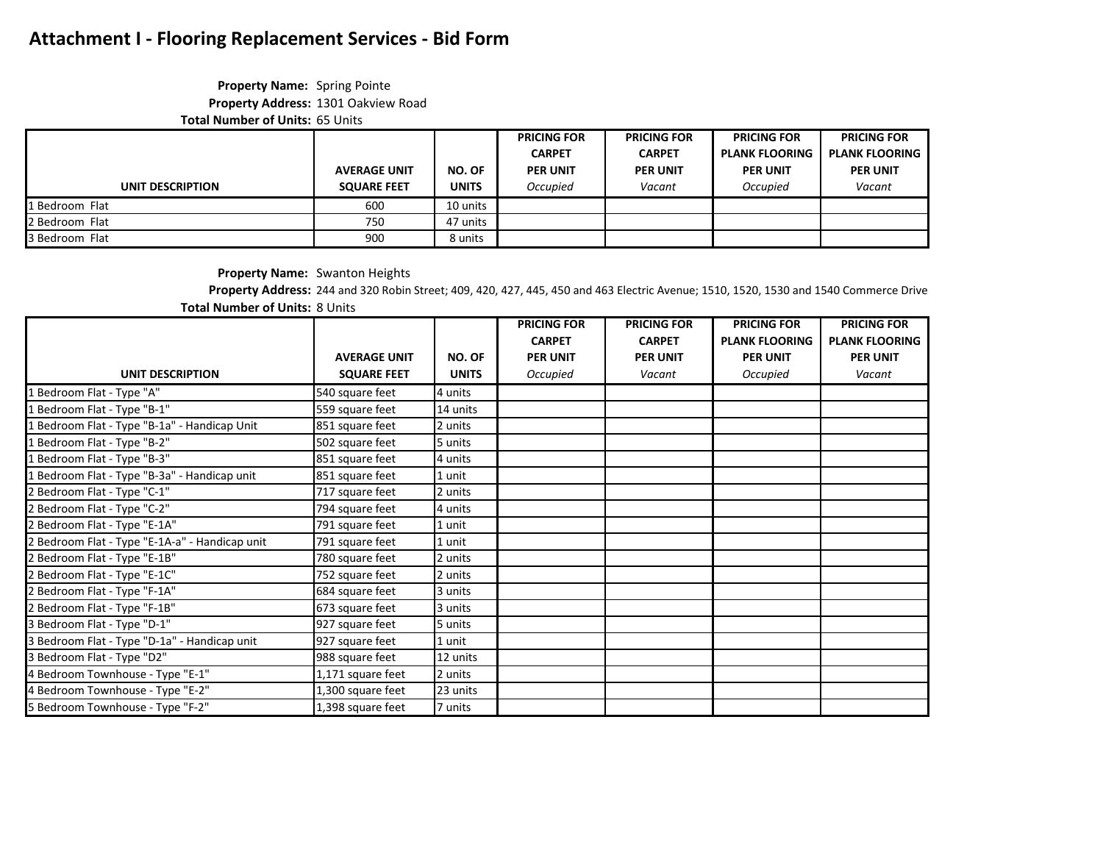### **Property Name:** Spring Pointe **Property Address:** 1301 Oakview Road

**Total Number of Units:** 65 Units

|                  |                     |              | <b>PRICING FOR</b> | <b>PRICING FOR</b> | <b>PRICING FOR</b>    | <b>PRICING FOR</b>    |
|------------------|---------------------|--------------|--------------------|--------------------|-----------------------|-----------------------|
|                  |                     |              | <b>CARPET</b>      | <b>CARPET</b>      | <b>PLANK FLOORING</b> | <b>PLANK FLOORING</b> |
|                  | <b>AVERAGE UNIT</b> | NO. OF       | <b>PER UNIT</b>    | <b>PER UNIT</b>    | <b>PER UNIT</b>       | <b>PER UNIT</b>       |
| UNIT DESCRIPTION | <b>SQUARE FEET</b>  | <b>UNITS</b> | Occupied           | Vacant             | Occupied              | Vacant                |
| 1 Bedroom Flat   | 600                 | 10 units     |                    |                    |                       |                       |
| 2 Bedroom Flat   | 750                 | 47 units     |                    |                    |                       |                       |
| 3 Bedroom Flat   | 900                 | 8 units      |                    |                    |                       |                       |

**Property Name:** Swanton Heights **Property Address:** 244 and 320 Robin Street; 409, 420, 427, 445, 450 and 463 Electric Avenue; 1510, 1520, 1530 and 1540 Commerce Drive

**Total Number of Units:** 8 Units

|                                                |                     |              | <b>PRICING FOR</b> | <b>PRICING FOR</b> | <b>PRICING FOR</b>    | <b>PRICING FOR</b>    |
|------------------------------------------------|---------------------|--------------|--------------------|--------------------|-----------------------|-----------------------|
|                                                |                     |              | <b>CARPET</b>      | <b>CARPET</b>      | <b>PLANK FLOORING</b> | <b>PLANK FLOORING</b> |
|                                                | <b>AVERAGE UNIT</b> | NO. OF       | <b>PER UNIT</b>    | <b>PER UNIT</b>    | <b>PER UNIT</b>       | <b>PER UNIT</b>       |
| UNIT DESCRIPTION                               | <b>SQUARE FEET</b>  | <b>UNITS</b> | Occupied           | Vacant             | Occupied              | Vacant                |
| 1 Bedroom Flat - Type "A"                      | 540 square feet     | 4 units      |                    |                    |                       |                       |
| 1 Bedroom Flat - Type "B-1"                    | 559 square feet     | 14 units     |                    |                    |                       |                       |
| 1 Bedroom Flat - Type "B-1a" - Handicap Unit   | 851 square feet     | 2 units      |                    |                    |                       |                       |
| 1 Bedroom Flat - Type "B-2"                    | 502 square feet     | 5 units      |                    |                    |                       |                       |
| 1 Bedroom Flat - Type "B-3"                    | 851 square feet     | 4 units      |                    |                    |                       |                       |
| 1 Bedroom Flat - Type "B-3a" - Handicap unit   | 851 square feet     | 1 unit       |                    |                    |                       |                       |
| 2 Bedroom Flat - Type "C-1"                    | 717 square feet     | 2 units      |                    |                    |                       |                       |
| 2 Bedroom Flat - Type "C-2"                    | 794 square feet     | 4 units      |                    |                    |                       |                       |
| 2 Bedroom Flat - Type "E-1A"                   | 791 square feet     | 1 unit       |                    |                    |                       |                       |
| 2 Bedroom Flat - Type "E-1A-a" - Handicap unit | 791 square feet     | 1 unit       |                    |                    |                       |                       |
| 2 Bedroom Flat - Type "E-1B"                   | 780 square feet     | 2 units      |                    |                    |                       |                       |
| 2 Bedroom Flat - Type "E-1C"                   | 752 square feet     | 2 units      |                    |                    |                       |                       |
| 2 Bedroom Flat - Type "F-1A"                   | 684 square feet     | 3 units      |                    |                    |                       |                       |
| 2 Bedroom Flat - Type "F-1B"                   | 673 square feet     | 3 units      |                    |                    |                       |                       |
| 3 Bedroom Flat - Type "D-1"                    | 927 square feet     | 5 units      |                    |                    |                       |                       |
| 3 Bedroom Flat - Type "D-1a" - Handicap unit   | 927 square feet     | 1 unit       |                    |                    |                       |                       |
| 3 Bedroom Flat - Type "D2"                     | 988 square feet     | 12 units     |                    |                    |                       |                       |
| 4 Bedroom Townhouse - Type "E-1"               | 1,171 square feet   | 2 units      |                    |                    |                       |                       |
| 4 Bedroom Townhouse - Type "E-2"               | 1,300 square feet   | 23 units     |                    |                    |                       |                       |
| 5 Bedroom Townhouse - Type "F-2"               | 1,398 square feet   | 7 units      |                    |                    |                       |                       |